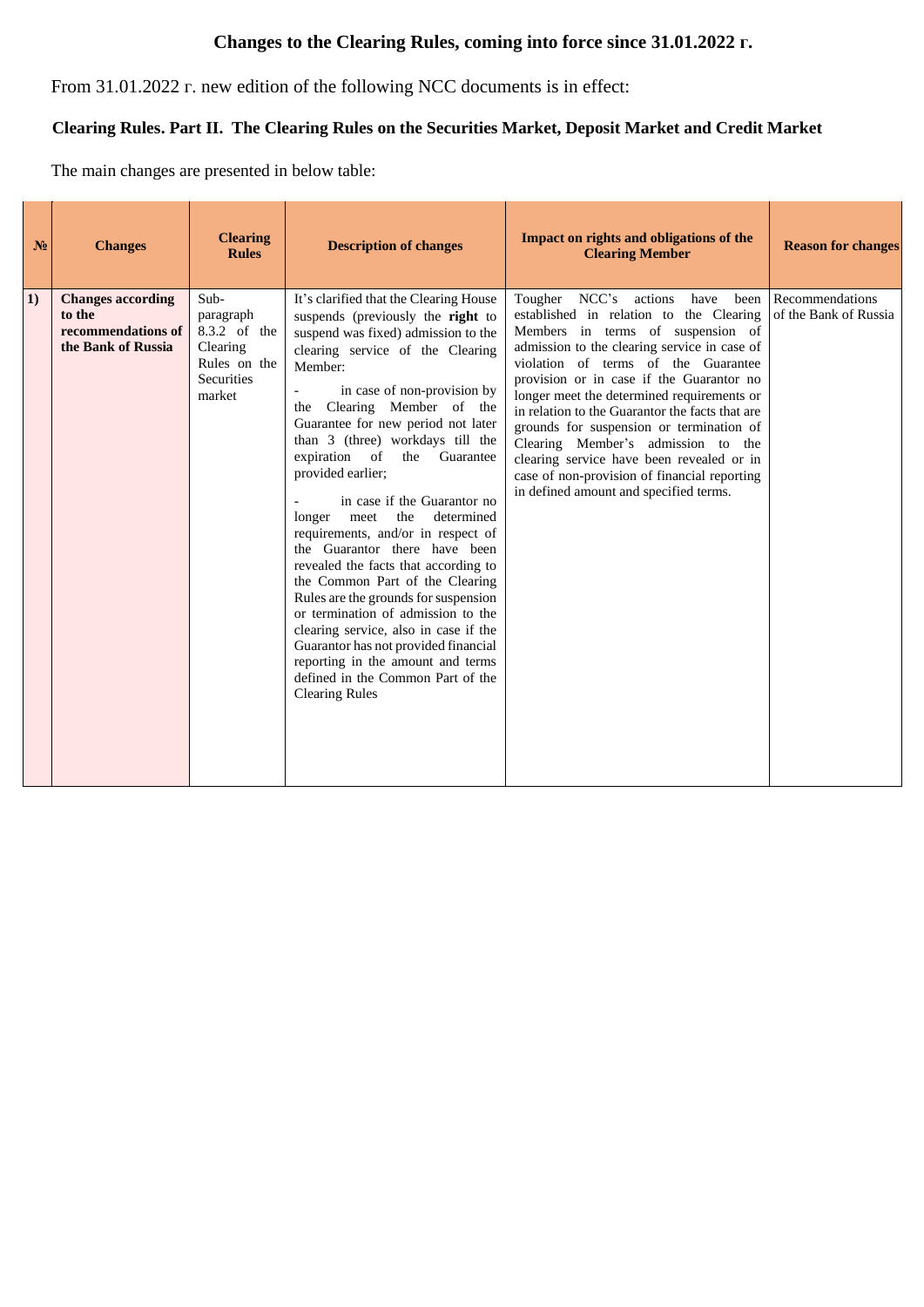## **Changes to the Clearing Rules, coming into force since 31.01.2022 г.**

From 31.01.2022 г. new edition of the following NCC documents is in effect:

## **Clearing Rules. Part II. The Clearing Rules on the Securities Market, Deposit Market and Credit Market**

The main changes are presented in below table:

| N <sub>2</sub> | <b>Changes</b>                                                                 | <b>Clearing</b><br><b>Rules</b>                                                              | <b>Description of changes</b>                                                                                                                                                                                                                                                                                                                                                                                                                                                                                                                                                                                                                                                                                                                                                                                                                                                 | Impact on rights and obligations of the<br><b>Clearing Member</b>                                                                                                                                                                                                                                                                                                                                                                                                                                                                                                                     | <b>Reason for changes</b>                |
|----------------|--------------------------------------------------------------------------------|----------------------------------------------------------------------------------------------|-------------------------------------------------------------------------------------------------------------------------------------------------------------------------------------------------------------------------------------------------------------------------------------------------------------------------------------------------------------------------------------------------------------------------------------------------------------------------------------------------------------------------------------------------------------------------------------------------------------------------------------------------------------------------------------------------------------------------------------------------------------------------------------------------------------------------------------------------------------------------------|---------------------------------------------------------------------------------------------------------------------------------------------------------------------------------------------------------------------------------------------------------------------------------------------------------------------------------------------------------------------------------------------------------------------------------------------------------------------------------------------------------------------------------------------------------------------------------------|------------------------------------------|
| 1)             | <b>Changes according</b><br>to the<br>recommendations of<br>the Bank of Russia | Sub-<br>paragraph<br>8.3.2 of the<br>Clearing<br>Rules on the<br><b>Securities</b><br>market | It's clarified that the Clearing House<br>suspends (previously the right to<br>suspend was fixed) admission to the<br>clearing service of the Clearing<br>Member:<br>in case of non-provision by<br>$\mathcal{L}$<br>the Clearing Member of the<br>Guarantee for new period not later<br>than 3 (three) workdays till the<br>expiration of<br>the<br>Guarantee<br>provided earlier;<br>in case if the Guarantor no<br>the<br>determined<br>longer<br>meet<br>requirements, and/or in respect of<br>the Guarantor there have been<br>revealed the facts that according to<br>the Common Part of the Clearing<br>Rules are the grounds for suspension<br>or termination of admission to the<br>clearing service, also in case if the<br>Guarantor has not provided financial<br>reporting in the amount and terms<br>defined in the Common Part of the<br><b>Clearing Rules</b> | Tougher NCC's<br>actions<br>have<br>been<br>established in relation to the Clearing<br>Members in terms of suspension of<br>admission to the clearing service in case of<br>violation of terms of the Guarantee<br>provision or in case if the Guarantor no<br>longer meet the determined requirements or<br>in relation to the Guarantor the facts that are<br>grounds for suspension or termination of<br>Clearing Member's admission to the<br>clearing service have been revealed or in<br>case of non-provision of financial reporting<br>in defined amount and specified terms. | Recommendations<br>of the Bank of Russia |